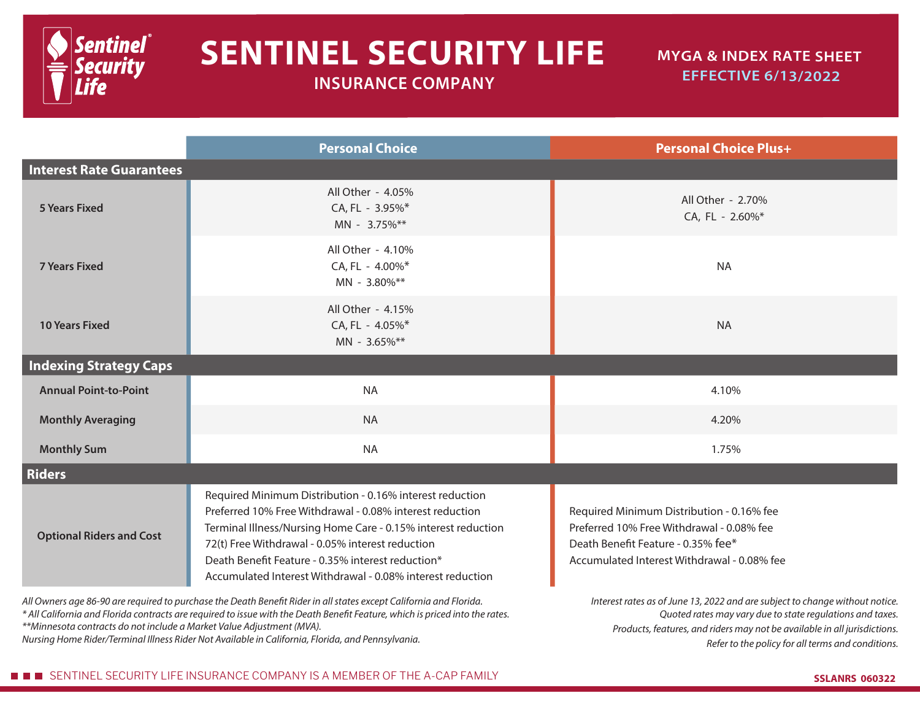

## **SENTINEL SECURITY LIFE**

 **INSURANCE COMPANY**

## **MYGA & INDEX RATE SHEET EFFECTIVE 6/13/2022**

|                                                                                                                                                                                                   | <b>Personal Choice</b>                                                                                                                                                                                                                                                                                                                                       | <b>Personal Choice Plus+</b>                                                                                                                                                |  |  |  |  |  |
|---------------------------------------------------------------------------------------------------------------------------------------------------------------------------------------------------|--------------------------------------------------------------------------------------------------------------------------------------------------------------------------------------------------------------------------------------------------------------------------------------------------------------------------------------------------------------|-----------------------------------------------------------------------------------------------------------------------------------------------------------------------------|--|--|--|--|--|
| <b>Interest Rate Guarantees</b>                                                                                                                                                                   |                                                                                                                                                                                                                                                                                                                                                              |                                                                                                                                                                             |  |  |  |  |  |
| <b>5 Years Fixed</b>                                                                                                                                                                              | All Other - 4.05%<br>CA, FL - 3.95%*<br>MN - 3.75%**                                                                                                                                                                                                                                                                                                         | All Other - 2.70%<br>CA, FL - 2.60%*                                                                                                                                        |  |  |  |  |  |
| <b>7 Years Fixed</b>                                                                                                                                                                              | All Other - 4.10%<br>CA, FL - 4.00%*<br>MN - 3.80%**                                                                                                                                                                                                                                                                                                         | <b>NA</b>                                                                                                                                                                   |  |  |  |  |  |
| <b>10 Years Fixed</b>                                                                                                                                                                             | All Other - 4.15%<br>CA, FL - 4.05%*<br>MN - 3.65%**                                                                                                                                                                                                                                                                                                         | <b>NA</b>                                                                                                                                                                   |  |  |  |  |  |
| <b>Indexing Strategy Caps</b>                                                                                                                                                                     |                                                                                                                                                                                                                                                                                                                                                              |                                                                                                                                                                             |  |  |  |  |  |
| <b>Annual Point-to-Point</b>                                                                                                                                                                      | <b>NA</b>                                                                                                                                                                                                                                                                                                                                                    | 4.10%                                                                                                                                                                       |  |  |  |  |  |
| <b>Monthly Averaging</b>                                                                                                                                                                          | <b>NA</b>                                                                                                                                                                                                                                                                                                                                                    | 4.20%                                                                                                                                                                       |  |  |  |  |  |
| <b>Monthly Sum</b>                                                                                                                                                                                | <b>NA</b>                                                                                                                                                                                                                                                                                                                                                    | 1.75%                                                                                                                                                                       |  |  |  |  |  |
| <b>Riders</b>                                                                                                                                                                                     |                                                                                                                                                                                                                                                                                                                                                              |                                                                                                                                                                             |  |  |  |  |  |
| <b>Optional Riders and Cost</b>                                                                                                                                                                   | Required Minimum Distribution - 0.16% interest reduction<br>Preferred 10% Free Withdrawal - 0.08% interest reduction<br>Terminal Illness/Nursing Home Care - 0.15% interest reduction<br>72(t) Free Withdrawal - 0.05% interest reduction<br>Death Benefit Feature - 0.35% interest reduction*<br>Accumulated Interest Withdrawal - 0.08% interest reduction | Required Minimum Distribution - 0.16% fee<br>Preferred 10% Free Withdrawal - 0.08% fee<br>Death Benefit Feature - 0.35% fee*<br>Accumulated Interest Withdrawal - 0.08% fee |  |  |  |  |  |
| Interest rates as of lune 13, 2022 and are subject to change without potice<br>All Quiners ago 86,00 are required to purchase the Death Repofit Pider in all states except California and Florida |                                                                                                                                                                                                                                                                                                                                                              |                                                                                                                                                                             |  |  |  |  |  |

*All Owners age 86-90 are required to purchase the Death Benefit Rider in all states except California and Florida.*

*\* All California and Florida contracts are required to issue with the Death Benefit Feature, which is priced into the rates. \*\*Minnesota contracts do not include a Market Value Adjustment (MVA).* 

*Nursing Home Rider/Terminal Illness Rider Not Available in California, Florida, and Pennsylvania.*

*Interest rates as of June 13, 2022 and are subject to change without notice. Quoted rates may vary due to state regulations and taxes. Products, features, and riders may not be available in all jurisdictions. Refer to the policy for all terms and conditions.*